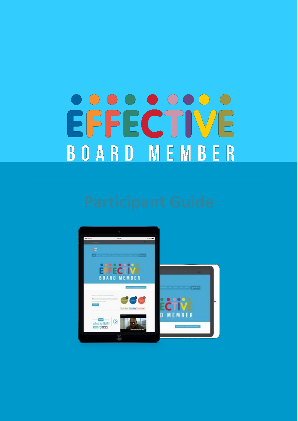# <u>. . . . . . . . .</u> EFFECTIVE **BOARD MEMBER**

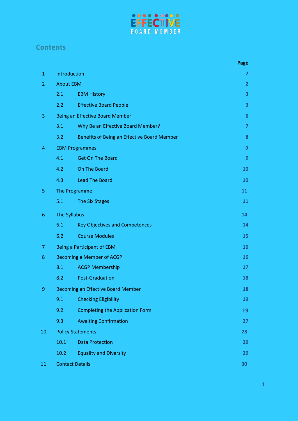

## **Contents**

|                |                                           |                                             | Page           |
|----------------|-------------------------------------------|---------------------------------------------|----------------|
| $\mathbf{1}$   | Introduction                              | $\overline{2}$                              |                |
| $\overline{2}$ | <b>About EBM</b>                          |                                             | $\overline{2}$ |
|                | 2.1                                       | <b>EBM History</b>                          | 3              |
|                | 2.2                                       | <b>Effective Board People</b>               | 3              |
| 3              | Being an Effective Board Member           | 6                                           |                |
|                | 3.1                                       | Why Be an Effective Board Member?           | $\overline{7}$ |
|                | 3.2                                       | Benefits of Being an Effective Board Member | 8              |
| 4              | <b>EBM Programmes</b>                     | 9                                           |                |
|                | 4.1                                       | <b>Get On The Board</b>                     | 9              |
|                | 4.2                                       | On The Board                                | 10             |
|                | 4.3                                       | <b>Lead The Board</b>                       | 10             |
| 5              | The Programme                             |                                             | 11             |
|                | 5.1                                       | The Six Stages                              | 11             |
| 6              | The Syllabus                              |                                             | 14             |
|                | 6.1                                       | <b>Key Objectives and Competences</b>       | 14             |
|                | 6.2                                       | <b>Course Modules</b>                       | 15             |
| 7              |                                           | <b>Being a Participant of EBM</b>           | 16             |
| 8              | <b>Becoming a Member of ACGP</b>          |                                             | 16             |
|                | 8.1                                       | <b>ACGP Membership</b>                      | 17             |
|                | 8.2                                       | <b>Post-Graduation</b>                      | 18             |
| $\overline{9}$ | <b>Becoming an Effective Board Member</b> |                                             | 18             |
|                | 9.1                                       | <b>Checking Eligibility</b>                 | 19             |
|                | 9.2                                       | <b>Completing the Application Form</b>      | 19             |
|                | 9.3                                       | <b>Awaiting Confirmation</b>                | 27             |
| 10             | <b>Policy Statements</b>                  |                                             | 28             |
|                | 10.1                                      | <b>Data Protection</b>                      | 29             |
|                | 10.2                                      | <b>Equality and Diversity</b>               | 29             |
| 11             | <b>Contact Details</b>                    |                                             | 30             |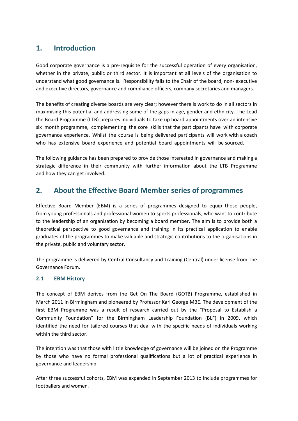## **1. Introduction**

Good corporate governance is a pre-requisite for the successful operation of every organisation, whether in the private, public or third sector. It is important at all levels of the organisation to understand what good governance is. Responsibility falls to the Chair of the board, non- executive and executive directors, governance and compliance officers, company secretaries and managers.

The benefits of creating diverse boards are very clear; however there is work to do in all sectors in maximising this potential and addressing some of the gaps in age, gender and ethnicity. The Lead the Board Programme (LTB) prepares individuals to take up board appointments over an intensive six month programme, complementing the core skills that the participants have with corporate governance experience. Whilst the course is being delivered participants will work with a coach who has extensive board experience and potential board appointments will be sourced.

The following guidance has been prepared to provide those interested in governance and making a strategic difference in their community with further information about the LTB Programme and how they can get involved.

## **2. About the Effective Board Member series of programmes**

Effective Board Member (EBM) is a series of programmes designed to equip those people, from young professionals and professional women to sports professionals, who want to contribute to the leadership of an organisation by becoming a board member. The aim is to provide both a theoretical perspective to good governance and training in its practical application to enable graduates of the programmes to make valuable and strategic contributions to the organisations in the private, public and voluntary sector.

The programme is delivered by Central Consultancy and Training (Central) under license from The Governance Forum.

### **2.1 EBM History**

The concept of EBM derives from the Get On The Board (GOTB) Programme, established in March 2011 in Birmingham and pioneered by Professor Karl George MBE. The development of the first EBM Programme was a result of research carried out by the "Proposal to Establish a Community Foundation" for the Birmingham Leadership Foundation (BLF) in 2009, which identified the need for tailored courses that deal with the specific needs of individuals working within the third sector.

The intention was that those with little knowledge of governance will be joined on the Programme by those who have no formal professional qualifications but a lot of practical experience in governance and leadership.

After three successful cohorts, EBM was expanded in September 2013 to include programmes for footballers and women.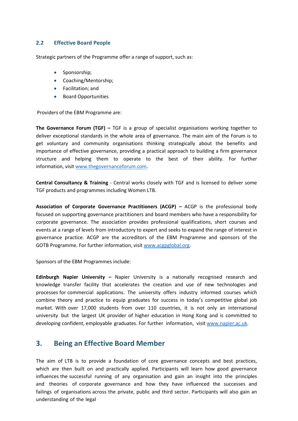#### **2.2 Effective Board People**

Strategic partners of the Programme offer a range of support, such as:

- Sponsorship;
- Coaching/Mentorship;
- Facilitation; and
- Board Opportunities

Providers of the EBM Programme are:

**The Governance Forum (TGF) –** TGF is a group of specialist organisations working together to deliver exceptional standards in the whole area of governance. The main aim of the Forum is to get voluntary and community organisations thinking strategically about the benefits and importance of effective governance, providing a practical approach to building a firm governance structure and helping them to operate to the best of their ability. For further information, visi[t www.thegovernanceforum.com.](http://www.thegovernanceforum.com/)

**Central Consultancy & Training** - Central works closely with TGF and is licensed to deliver some TGF products and programmes including Women LTB.

**Association of Corporate Governance Practitioners (ACGP) –** ACGP is the professional body focused on supporting governance practitioners and board members who have a responsibility for corporate governance. The association provides professional qualifications, short courses and events at a range of levels from introductory to expert and seeks to expand the range of interest in governance practice. ACGP are the accreditors of the EBM Programme and sponsors of the GOTB Programme. For further information, visi[t www.acgpglobal.org.](http://www.acgpglobal.org/)

Sponsors of the EBM Programmes include:

**Edinburgh Napier University –** Napier University is a nationally recognised research and knowledge transfer facility that accelerates the creation and use of new technologies and processes for commercial applications. The university offers industry informed courses which combine theory and practice to equip graduates for success in today's competitive global job market. With over 17,000 students from over 110 countries, it is not only an international university but the largest UK provider of higher education in Hong Kong and is committed to developing confident, employable graduates. For further information, visit [www.napier.ac.uk.](http://www.napier.ac.uk/)

## **3. Being an Effective Board Member**

The aim of LTB is to provide a foundation of core governance concepts and best practices, which are then built on and practically applied. Participants will learn how good governance influences the successful running of any organisation and gain an insight into the principles and theories of corporate governance and how they have influenced the successes and failings of organisations across the private, public and third sector. Participants will also gain an understanding of the legal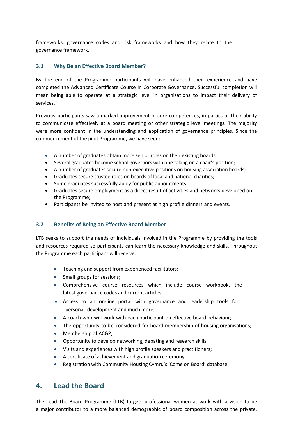frameworks, governance codes and risk frameworks and how they relate to the governance framework.

#### **3.1 Why Be an Effective Board Member?**

By the end of the Programme participants will have enhanced their experience and have completed the Advanced Certificate Course in Corporate Governance. Successful completion will mean being able to operate at a strategic level in organisations to impact their delivery of services.

Previous participants saw a marked improvement in core competences, in particular their ability to communicate effectively at a board meeting or other strategic level meetings. The majority were more confident in the understanding and application of governance principles. Since the commencement of the pilot Programme, we have seen:

- A number of graduates obtain more senior roles on their existing boards
- Several graduates become school governors with one taking on a chair's position;
- A number of graduates secure non-executive positions on housing association boards;
- Graduates secure trustee roles on boards of local and national charities;
- Some graduates successfully apply for public appointments
- Graduates secure employment as a direct result of activities and networks developed on the Programme;
- Participants be invited to host and present at high profile dinners and events.

#### **3.2 Benefits of Being an Effective Board Member**

LTB seeks to support the needs of individuals involved in the Programme by providing the tools and resources required so participants can learn the necessary knowledge and skills. Throughout the Programme each participant will receive:

- **•** Teaching and support from experienced facilitators;
- Small groups for sessions;
- Comprehensive course resources which include course workbook, the latest governance codes and current articles
- Access to an on-line portal with governance and leadership tools for personal development and much more;
- A coach who will work with each participant on effective board behaviour;
- The opportunity to be considered for board membership of housing organisations;
- Membership of ACGP;
- Opportunity to develop networking, debating and research skills;
- Visits and experiences with high profile speakers and practitioners;
- A certificate of achievement and graduation ceremony.
- Registration with Community Housing Cymru's 'Come on Board' database

## **4. Lead the Board**

The Lead The Board Programme (LTB) targets professional women at work with a vision to be a major contributor to a more balanced demographic of board composition across the private,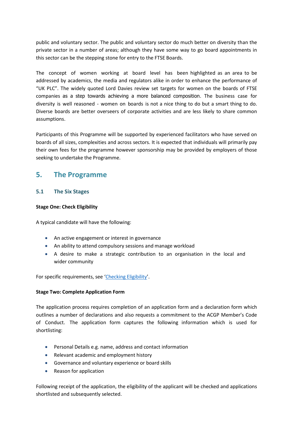public and voluntary sector. The public and voluntary sector do much better on diversity than the private sector in a number of areas; although they have some way to go board appointments in this sector can be the stepping stone for entry to the FTSE Boards.

The concept of women working at board level has been highlighted as an area to be addressed by academics, the media and regulators alike in order to enhance the performance of "UK PLC". The widely quoted Lord Davies review set targets for women on the boards of FTSE companies as a step towards achieving a more balanced composition. The business case for diversity is well reasoned - women on boards is not a nice thing to do but a smart thing to do. Diverse boards are better overseers of corporate activities and are less likely to share common assumptions.

Participants of this Programme will be supported by experienced facilitators who have served on boards of all sizes, complexities and across sectors. It is expected that individuals will primarily pay their own fees for the programme however sponsorship may be provided by employers of those seeking to undertake the Programme.

## **5. The Programme**

#### **5.1 The Six Stages**

#### **Stage One: Check Eligibility**

A typical candidate will have the following:

- An active engagement or interest in governance
- An ability to attend compulsory sessions and manage workload
- A desire to make a strategic contribution to an organisation in the local and wider community

For specific requirements, see 'Checking Eligibility'.

#### **Stage Two: Complete Application Form**

The application process requires completion of an application form and a declaration form which outlines a number of declarations and also requests a commitment to the ACGP Member's Code of Conduct. The application form captures the following information which is used for shortlisting:

- Personal Details e.g. name, address and contact information
- Relevant academic and employment history
- Governance and voluntary experience or board skills
- Reason for application

Following receipt of the application, the eligibility of the applicant will be checked and applications shortlisted and subsequently selected.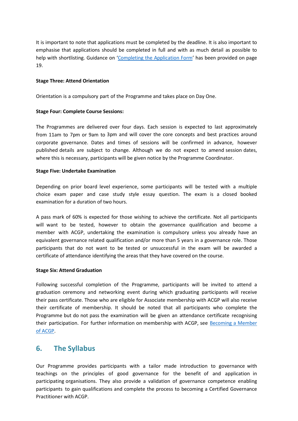It is important to note that applications must be completed by the deadline. It is also important to emphasise that applications should be completed in full and with as much detail as possible to help with shortlisting. Guidance on 'Completing the Application Form' has been provided on page 19.

#### **Stage Three: Attend Orientation**

Orientation is a compulsory part of the Programme and takes place on Day One.

#### **Stage Four: Complete Course Sessions:**

The Programmes are delivered over four days. Each session is expected to last approximately from 11am to 7pm or 9am to 3pm and will cover the core concepts and best practices around corporate governance. Dates and times of sessions will be confirmed in advance, however published details are subject to change. Although we do not expect to amend session dates, where this is necessary, participants will be given notice by the Programme Coordinator.

#### **Stage Five: Undertake Examination**

Depending on prior board level experience, some participants will be tested with a multiple choice exam paper and case study style essay question. The exam is a closed booked examination for a duration of two hours.

A pass mark of 60% is expected for those wishing to achieve the certificate. Not all participants will want to be tested, however to obtain the governance qualification and become a member with ACGP, undertaking the examination is compulsory unless you already have an equivalent governance related qualification and/or more than 5 years in a governance role. Those participants that do not want to be tested or unsuccessful in the exam will be awarded a certificate of attendance identifying the areas that they have covered on the course.

#### **Stage Six: Attend Graduation**

Following successful completion of the Programme, participants will be invited to attend a graduation ceremony and networking event during which graduating participants will receive their pass certificate. Those who are eligible for Associate membership with ACGP will also receive their certificate of membership. It should be noted that all participants who complete the Programme but do not pass the examination will be given an attendance certificate recognising their participation. For further information on membership with ACGP, see Becoming a Member of ACGP.

## **6. The Syllabus**

Our Programme provides participants with a tailor made introduction to governance with teachings on the principles of good governance for the benefit of and application in participating organisations. They also provide a validation of governance competence enabling participants to gain qualifications and complete the process to becoming a Certified Governance Practitioner with ACGP.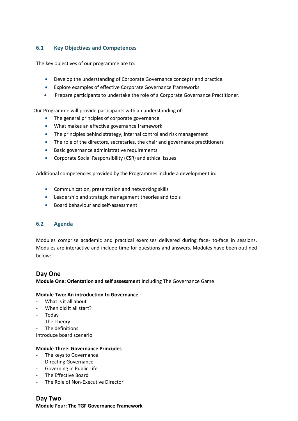#### **6.1 Key Objectives and Competences**

The key objectives of our programme are to:

- Develop the understanding of Corporate Governance concepts and practice.
- Explore examples of effective Corporate Governance frameworks
- Prepare participants to undertake the role of a Corporate Governance Practitioner.

Our Programme will provide participants with an understanding of:

- The general principles of corporate governance
- What makes an effective governance framework
- The principles behind strategy, internal control and risk management
- The role of the directors, secretaries, the chair and governance practitioners
- Basic governance administrative requirements
- Corporate Social Responsibility (CSR) and ethical issues

Additional competencies provided by the Programmes include a development in:

- Communication, presentation and networking skills
- Leadership and strategic management theories and tools
- **Board behaviour and self-assessment**

#### **6.2 Agenda**

Modules comprise academic and practical exercises delivered during face- to-face in sessions. Modules are interactive and include time for questions and answers. Modules have been outlined below:

#### **Day One**

**Module One: Orientation and self assessment** including The Governance Game

#### **Module Two: An introduction to Governance**

- What is it all about
- When did it all start?
- Today
- The Theory
- The definitions

Introduce board scenario

#### **Module Three: Governance Principles**

- The keys to Governance
- Directing Governance
- Governing in Public Life
- The Effective Board
- The Role of Non-Executive Director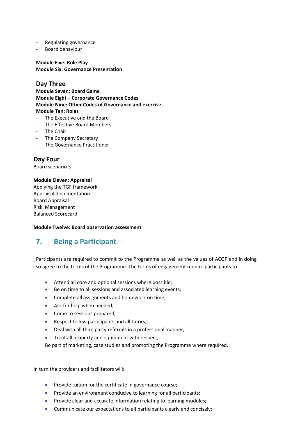- Regulating governance
- Board behaviour

**Module Five: Role Play Module Six: Governance Presentation**

### **Day Three**

**Module Seven: Board Game Module Eight – Corporate Governance Codes Module Nine: Other Codes of Governance and exercise Module Ten: Roles**

- The Executive and the Board
- The Effective Board Members
- The Chair
- The Company Secretary
- The Governance Practitioner

**Day Four** Board scenario 3

#### **Module Eleven: Appraisal**

Applying the TGF framework Appraisal documentation Board Appraisal Risk Management Balanced Scorecard

#### **Module Twelve: Board observation assessment**

## **7. Being a Participant**

Participants are required to commit to the Programme as well as the values of ACGP and in doing so agree to the terms of the Programme. The terms of engagement require participants to:

- Attend all core and optional sessions where possible;
- Be on time to all sessions and associated learning events;
- Complete all assignments and homework on time;
- Ask for help when needed;
- Come to sessions prepared;
- Respect fellow participants and all tutors;
- Deal with all third party referrals in a professional manner;
- Treat all property and equipment with respect;

Be part of marketing, case studies and promoting the Programme where required.

In turn the providers and facilitators will:

- Provide tuition for the certificate in governance course;
- Provide an environment conducive to learning for all participants;
- Provide clear and accurate information relating to learning modules;
- Communicate our expectations to all participants clearly and concisely;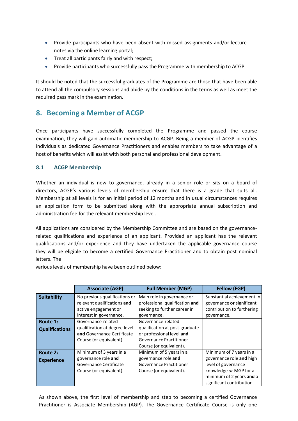- Provide participants who have been absent with missed assignments and/or lecture notes via the online learning portal;
- Treat all participants fairly and with respect;
- Provide participants who successfully pass the Programme with membership to ACGP

It should be noted that the successful graduates of the Programme are those that have been able to attend all the compulsory sessions and abide by the conditions in the terms as well as meet the required pass mark in the examination.

## **8. Becoming a Member of ACGP**

Once participants have successfully completed the Programme and passed the course examination, they will gain automatic membership to ACGP. Being a member of ACGP identifies individuals as dedicated Governance Practitioners and enables members to take advantage of a host of benefits which will assist with both personal and professional development.

#### **8.1 ACGP Membership**

Whether an individual is new to governance, already in a senior role or sits on a board of directors, ACGP's various levels of membership ensure that there is a grade that suits all. Membership at all levels is for an initial period of 12 months and in usual circumstances requires an application form to be submitted along with the appropriate annual subscription and administration fee for the relevant membership level.

All applications are considered by the Membership Committee and are based on the governancerelated qualifications and experience of an applicant. Provided an applicant has the relevant qualifications and/or experience and they have undertaken the applicable governance course they will be eligible to become a certified Governance Practitioner and to obtain post nominal letters. The

various levels of membership have been outlined below:

|                       | <b>Associate (AGP)</b>        | <b>Full Member (MGP)</b>       | <b>Fellow (FGP)</b>        |
|-----------------------|-------------------------------|--------------------------------|----------------------------|
| <b>Suitability</b>    | No previous qualifications or | Main role in governance or     | Substantial achievement in |
|                       | relevant qualifications and   | professional qualification and | governance or significant  |
|                       | active engagement or          | seeking to further career in   | contribution to furthering |
|                       | interest in governance.       | governance.                    | governance.                |
| Route 1:              | Governance-related            | Governance-related             |                            |
| <b>Qualifications</b> | qualification at degree level | qualification at post-graduate |                            |
|                       | and Governance Certificate    | or professional level and      |                            |
|                       | Course (or equivalent).       | Governance Practitioner        |                            |
|                       |                               | Course (or equivalent).        |                            |
| Route 2:              | Minimum of 3 years in a       | Minimum of 5 years in a        | Minimum of 7 years in a    |
| <b>Experience</b>     | governance role and           | governance role and            | governance role and high   |
|                       | Governance Certificate        | Governance Practitioner        | level of governance        |
|                       | Course (or equivalent).       | Course (or equivalent).        | knowledge or MGP for a     |
|                       |                               |                                | minimum of 2 years and a   |
|                       |                               |                                | significant contribution.  |

As shown above, the first level of membership and step to becoming a certified Governance Practitioner is Associate Membership (AGP). The Governance Certificate Course is only one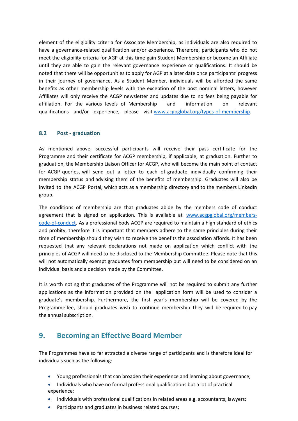element of the eligibility criteria for Associate Membership, as individuals are also required to have a governance-related qualification and/or experience. Therefore, participants who do not meet the eligibility criteria for AGP at this time gain Student Membership or become an Affiliate until they are able to gain the relevant governance experience or qualifications. It should be noted that there will be opportunities to apply for AGP at a later date once participants' progress in their journey of governance. As a Student Member, individuals will be afforded the same benefits as other membership levels with the exception of the post nominal letters, however Affiliates will only receive the ACGP newsletter and updates due to no fees being payable for affiliation. For the various levels of Membership and information on relevant qualifications and/or experience, please visit [www.acgpglobal.org/types-of-membership.](http://www.acgpglobal.org/types-of-membership)

#### **8.2 Post - graduation**

As mentioned above, successful participants will receive their pass certificate for the Programme and their certificate for ACGP membership, if applicable, at graduation. Further to graduation, the Membership Liaison Officer for ACGP, who will become the main point of contact for ACGP queries, will send out a letter to each of graduate individually confirming their membership status and advising them of the benefits of membership. Graduates will also be invited to the ACGP Portal, which acts as a membership directory and to the members LinkedIn group.

The conditions of membership are that graduates abide by the members code of conduct agreement that is signed on application. This is available at [www.acgpglobal.org/members](http://www.acgpglobal.org/members-code-of-conduct)[code-of-conduct.](http://www.acgpglobal.org/members-code-of-conduct) As a professional body ACGP are required to maintain a high standard of ethics and probity, therefore it is important that members adhere to the same principles during their time of membership should they wish to receive the benefits the association affords. It has been requested that any relevant declarations not made on application which conflict with the principles of ACGP will need to be disclosed to the Membership Committee. Please note that this will not automatically exempt graduates from membership but will need to be considered on an individual basis and a decision made by the Committee.

It is worth noting that graduates of the Programme will not be required to submit any further applications as the information provided on the application form will be used to consider a graduate's membership. Furthermore, the first year's membership will be covered by the Programme fee, should graduates wish to continue membership they will be required to pay the annual subscription.

## **9. Becoming an Effective Board Member**

The Programmes have so far attracted a diverse range of participants and is therefore ideal for individuals such as the following:

- Young professionals that can broaden their experience and learning about governance;
- Individuals who have no formal professional qualifications but a lot of practical experience;
- Individuals with professional qualifications in related areas e.g. accountants, lawyers;
- Participants and graduates in business related courses;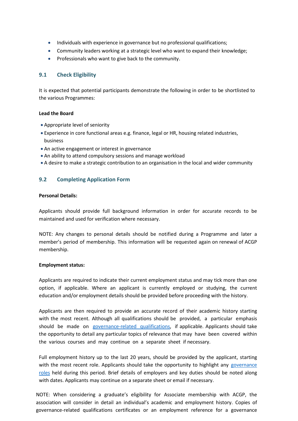- Individuals with experience in governance but no professional qualifications;
- Community leaders working at a strategic level who want to expand their knowledge;
- Professionals who want to give back to the community.

#### **9.1 Check Eligibility**

It is expected that potential participants demonstrate the following in order to be shortlisted to the various Programmes:

#### **Lead the Board**

- Appropriate level of seniority
- Experience in core functional areas e.g. finance, legal or HR, housing related industries, business
- An active engagement or interest in governance
- An ability to attend compulsory sessions and manage workload
- A desire to make a strategic contribution to an organisation in the local and wider community

#### **9.2 Completing Application Form**

#### **Personal Details:**

Applicants should provide full background information in order for accurate records to be maintained and used for verification where necessary.

NOTE: Any changes to personal details should be notified during a Programme and later a member's period of membership. This information will be requested again on renewal of ACGP membership.

#### **Employment status:**

Applicants are required to indicate their current employment status and may tick more than one option, if applicable. Where an applicant is currently employed or studying, the current education and/or employment details should be provided before proceeding with the history.

Applicants are then required to provide an accurate record of their academic history starting with the most recent. Although all qualifications should be provided, a particular emphasis should be made on governance-related qualifications, if applicable. Applicants should take the opportunity to detail any particular topics of relevance that may have been covered within the various courses and may continue on a separate sheet if necessary.

Full employment history up to the last 20 years, should be provided by the applicant, starting with the most recent role. Applicants should take the opportunity to highlight any governance roles held during this period. Brief details of employers and key duties should be noted along with dates. Applicants may continue on a separate sheet or email if necessary.

NOTE: When considering a graduate's eligibility for Associate membership with ACGP, the association will consider in detail an individual's academic and employment history. Copies of governance-related qualifications certificates or an employment reference for a governance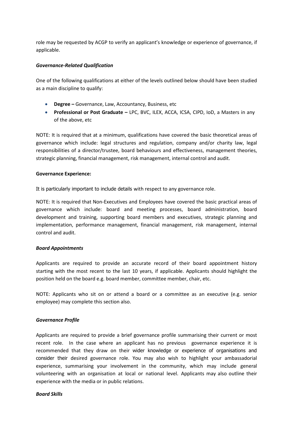role may be requested by ACGP to verify an applicant's knowledge or experience of governance, if applicable.

#### *Governance-Related Qualification*

One of the following qualifications at either of the levels outlined below should have been studied as a main discipline to qualify:

- **Degree –** Governance, Law, Accountancy, Business, etc
- **Professional or Post Graduate –** LPC, BVC, ILEX, ACCA, ICSA, CIPD, IoD, a Masters in any of the above, etc

NOTE: It is required that at a minimum, qualifications have covered the basic theoretical areas of governance which include: legal structures and regulation, company and/or charity law, legal responsibilities of a director/trustee, board behaviours and effectiveness, management theories, strategic planning, financial management, risk management, internal control and audit.

#### **Governance Experience:**

It is particularly important to include details with respect to any governance role.

NOTE: It is required that Non-Executives and Employees have covered the basic practical areas of governance which include: board and meeting processes, board administration, board development and training, supporting board members and executives, strategic planning and implementation, performance management, financial management, risk management, internal control and audit.

#### *Board Appointments*

Applicants are required to provide an accurate record of their board appointment history starting with the most recent to the last 10 years, if applicable. Applicants should highlight the position held on the board e.g. board member, committee member, chair, etc.

NOTE: Applicants who sit on or attend a board or a committee as an executive (e.g. senior employee) may complete this section also.

#### *Governance Profile*

Applicants are required to provide a brief governance profile summarising their current or most recent role. In the case where an applicant has no previous governance experience it is recommended that they draw on their wider knowledge or experience of organisations and consider their desired governance role. You may also wish to highlight your ambassadorial experience, summarising your involvement in the community, which may include general volunteering with an organisation at local or national level. Applicants may also outline their experience with the media or in public relations.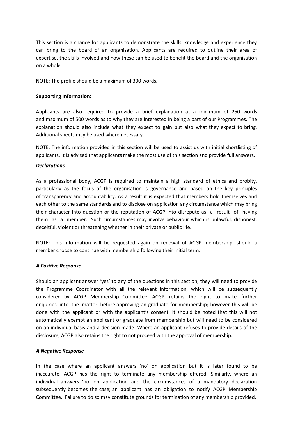This section is a chance for applicants to demonstrate the skills, knowledge and experience they can bring to the board of an organisation. Applicants are required to outline their area of expertise, the skills involved and how these can be used to benefit the board and the organisation on a whole.

NOTE: The profile should be a maximum of 300 words.

#### **Supporting Information:**

Applicants are also required to provide a brief explanation at a minimum of 250 words and maximum of 500 words as to why they are interested in being a part of our Programmes. The explanation should also include what they expect to gain but also what they expect to bring. Additional sheets may be used where necessary.

NOTE: The information provided in this section will be used to assist us with initial shortlisting of applicants. It is advised that applicants make the most use of this section and provide full answers.

#### *Declarations*

As a professional body, ACGP is required to maintain a high standard of ethics and probity, particularly as the focus of the organisation is governance and based on the key principles of transparency and accountability. As a result it is expected that members hold themselves and each other to the same standards and to disclose on application any circumstance which may bring their character into question or the reputation of ACGP into disrepute as a result of having them as a member. Such circumstances may involve behaviour which is unlawful, dishonest, deceitful, violent or threatening whether in their private or public life.

NOTE: This information will be requested again on renewal of ACGP membership, should a member choose to continue with membership following their initial term.

#### *A Positive Response*

Should an applicant answer 'yes' to any of the questions in this section, they will need to provide the Programme Coordinator with all the relevant information, which will be subsequently considered by ACGP Membership Committee. ACGP retains the right to make further enquiries into the matter before approving an graduate for membership; however this will be done with the applicant or with the applicant's consent. It should be noted that this will not automatically exempt an applicant or graduate from membership but will need to be considered on an individual basis and a decision made. Where an applicant refuses to provide details of the disclosure, ACGP also retains the right to not proceed with the approval of membership.

#### *A Negative Response*

In the case where an applicant answers 'no' on application but it is later found to be inaccurate, ACGP has the right to terminate any membership offered. Similarly, where an individual answers 'no' on application and the circumstances of a mandatory declaration subsequently becomes the case; an applicant has an obligation to notify ACGP Membership Committee. Failure to do so may constitute grounds for termination of any membership provided.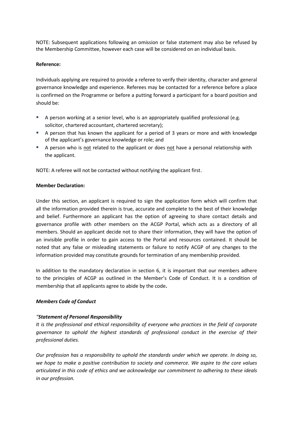NOTE: Subsequent applications following an omission or false statement may also be refused by the Membership Committee, however each case will be considered on an individual basis.

#### **Reference:**

Individuals applying are required to provide a referee to verify their identity, character and general governance knowledge and experience. Referees may be contacted for a reference before a place is confirmed on the Programme or before a putting forward a participant for a board position and should be:

- A person working at a senior level, who is an appropriately qualified professional (e.g. solicitor, chartered accountant, chartered secretary);
- A person that has known the applicant for a period of 3 years or more and with knowledge of the applicant's governance knowledge or role; and
- A person who is not related to the applicant or does not have a personal relationship with the applicant.

NOTE: A referee will not be contacted without notifying the applicant first.

#### **Member Declaration:**

Under this section, an applicant is required to sign the application form which will confirm that all the information provided therein is true, accurate and complete to the best of their knowledge and belief. Furthermore an applicant has the option of agreeing to share contact details and governance profile with other members on the ACGP Portal, which acts as a directory of all members. Should an applicant decide not to share their information, they will have the option of an invisible profile in order to gain access to the Portal and resources contained. It should be noted that any false or misleading statements or failure to notify ACGP of any changes to the information provided may constitute grounds for termination of any membership provided.

In addition to the mandatory declaration in section 6, it is important that our members adhere to the principles of ACGP as outlined in the Member's Code of Conduct. It is a condition of membership that all applicants agree to abide by the code**.**

#### *Members Code of Conduct*

#### *"Statement of Personal Responsibility*

*It is the professional and ethical responsibility of everyone who practices in the field of corporate governance to uphold the highest standards of professional conduct in the exercise of their professional duties.*

*Our profession has a responsibility to uphold the standards under which we operate. In doing so, we hope to make a positive contribution to society and commerce. We aspire to the core values articulated in this code of ethics and we acknowledge our commitment to adhering to these ideals in our profession.*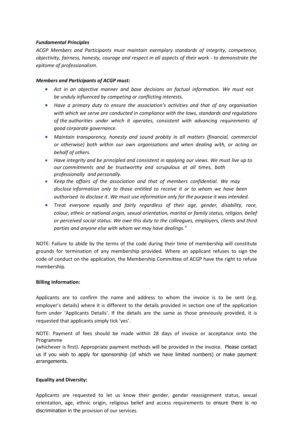#### *Fundamental Principles*

*ACGP Members and Participants must maintain exemplary standards of integrity, competence, objectivity, fairness, honesty, courage and respect in all aspects of their work - to demonstrate the epitome of professionalism.*

#### *Members and Participants of ACGP must:*

- *Act in an objective manner and base decisions on factual information. We must not be unduly influenced by competing or conflicting interests.*
- *Have a primary duty to ensure the association's activities and that of any organisation with which we serve are conducted in compliance with the laws, standards and regulations of the authorities under which it operates, consistent with advancing requirements of good corporate governance.*
- *Maintain transparency, honesty and sound probity in all matters (financial, commercial or otherwise) both within our own organisations and when dealing with, or acting on behalf of others.*
- *Have integrity and be principled and consistent in applying our views. We must live up to our commitments and be trustworthy and scrupulous at all times, both professionally and personally.*
- *Keep the affairs of the association and that of members confidential. We may disclose information only to those entitled to receive it or to whom we have been authorised to disclose it. We must use information only for the purpose it was intended.*
- *Treat everyone equally and fairly regardless of their age, gender, disability, race, colour, ethnic or national origin, sexual orientation, marital or family status, religion, belief or perceived social status. We owe this duty to the colleagues, employers, clients and third parties and anyone else with whom we may have dealings."*

NOTE: Failure to abide by the terms of the code during their time of membership will constitute grounds for termination of any membership provided. Where an applicant refuses to sign the code of conduct on the application, the Membership Committee of ACGP have the right to refuse membership.

#### **Billing Information:**

Applicants are to confirm the name and address to whom the invoice is to be sent (e.g. employer's details) where it is different to the details provided in section one of the application form under 'Applicants Details'. If the details are the same as those previously provided, it is requested that applicants simply tick 'yes'.

NOTE: Payment of fees should be made within 28 days of invoice or acceptance onto the Programme

(whichever is first). Appropriate payment methods will be provided in the invoice. Please contact us if you wish to apply for sponsorship (of which we have limited numbers) or make payment arrangements.

#### **Equality and Diversity:**

Applicants are requested to let us know their gender, gender reassignment status, sexual orientation, age, ethnic origin, religious belief and access requirements to ensure there is no discrimination in the provision of our services.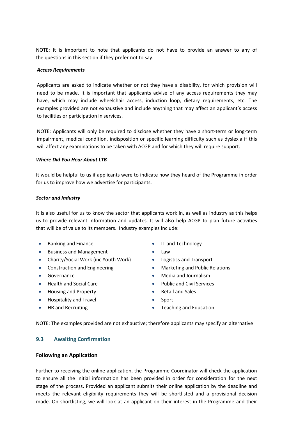NOTE: It is important to note that applicants do not have to provide an answer to any of the questions in this section if they prefer not to say.

#### *Access Requirements*

Applicants are asked to indicate whether or not they have a disability, for which provision will need to be made. It is important that applicants advise of any access requirements they may have, which may include wheelchair access, induction loop, dietary requirements, etc. The examples provided are not exhaustive and include anything that may affect an applicant's access to facilities or participation in services.

NOTE: Applicants will only be required to disclose whether they have a short-term or long-term impairment, medical condition, indisposition or specific learning difficulty such as dyslexia if this will affect any examinations to be taken with ACGP and for which they will require support.

#### *Where Did You Hear About LTB*

It would be helpful to us if applicants were to indicate how they heard of the Programme in order for us to improve how we advertise for participants.

#### *Sector and Industry*

It is also useful for us to know the sector that applicants work in, as well as industry as this helps us to provide relevant information and updates. It will also help ACGP to plan future activities that will be of value to its members. Industry examples include:

- $\bullet$ Banking and Finance
- $\bullet$ Business and Management
- Charity/Social Work (inc Youth Work) Logistics and Transport
- $\bullet$ Construction and Engineering
- $\bullet$ Governance
- $\bullet$ Health and Social Care
- $\bullet$ Housing and Property
- $\bullet$ Hospitality and Travel
- $\bullet$ HR and Recruiting
- $\bullet$ IT and Technology
- $\bullet$ Law
- 
- $\bullet$ Marketing and Public Relations
- $\bullet$ Media and Journalism
- $\bullet$ Public and Civil Services
- $\bullet$ Retail and Sales
- $\bullet$ Sport
- $\bullet$ Teaching and Education

NOTE: The examples provided are not exhaustive; therefore applicants may specify an alternative

#### **9.3 Awaiting Confirmation**

#### **Following an Application**

Further to receiving the online application, the Programme Coordinator will check the application to ensure all the initial information has been provided in order for consideration for the next stage of the process. Provided an applicant submits their online application by the deadline and meets the relevant eligibility requirements they will be shortlisted and a provisional decision made. On shortlisting, we will look at an applicant on their interest in the Programme and their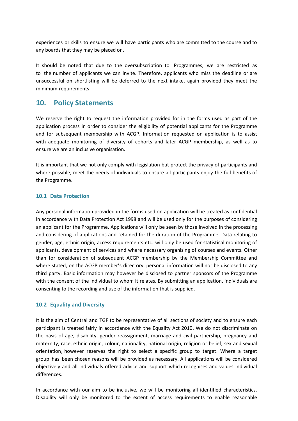experiences or skills to ensure we will have participants who are committed to the course and to any boards that they may be placed on.

It should be noted that due to the oversubscription to Programmes, we are restricted as to the number of applicants we can invite. Therefore, applicants who miss the deadline or are unsuccessful on shortlisting will be deferred to the next intake, again provided they meet the minimum requirements.

## **10. Policy Statements**

We reserve the right to request the information provided for in the forms used as part of the application process in order to consider the eligibility of potential applicants for the Programme and for subsequent membership with ACGP. Information requested on application is to assist with adequate monitoring of diversity of cohorts and later ACGP membership, as well as to ensure we are an inclusive organisation.

It is important that we not only comply with legislation but protect the privacy of participants and where possible, meet the needs of individuals to ensure all participants enjoy the full benefits of the Programme.

#### **10.1 Data Protection**

Any personal information provided in the forms used on application will be treated as confidential in accordance with Data Protection Act 1998 and will be used only for the purposes of considering an applicant for the Programme. Applications will only be seen by those involved in the processing and considering of applications and retained for the duration of the Programme. Data relating to gender, age, ethnic origin, access requirements etc. will only be used for statistical monitoring of applicants, development of services and where necessary organising of courses and events. Other than for consideration of subsequent ACGP membership by the Membership Committee and where stated, on the ACGP member's directory, personal information will not be disclosed to any third party. Basic information may however be disclosed to partner sponsors of the Programme with the consent of the individual to whom it relates. By submitting an application, individuals are consenting to the recording and use of the information that is supplied.

#### **10.2 Equality and Diversity**

It is the aim of Central and TGF to be representative of all sections of society and to ensure each participant is treated fairly in accordance with the Equality Act 2010. We do not discriminate on the basis of age, disability, gender reassignment, marriage and civil partnership, pregnancy and maternity, race, ethnic origin, colour, nationality, national origin, religion or belief, sex and sexual orientation, however reserves the right to select a specific group to target. Where a target group has been chosen reasons will be provided as necessary. All applications will be considered objectively and all individuals offered advice and support which recognises and values individual differences.

In accordance with our aim to be inclusive, we will be monitoring all identified characteristics. Disability will only be monitored to the extent of access requirements to enable reasonable